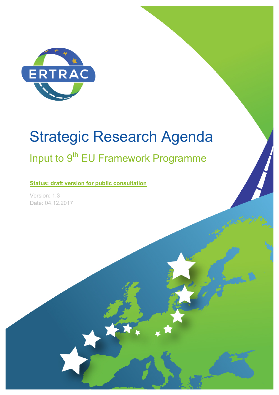

# Strategic Research Agenda

# Input to 9<sup>th</sup> EU Framework Programme

**Status: draft version for public consultation**

Version: 1.3 Date: 04.12.2017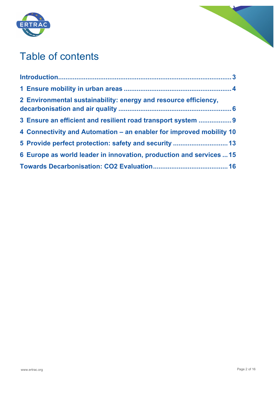



# Table of contents

| 2 Environmental sustainability: energy and resource efficiency,     |  |
|---------------------------------------------------------------------|--|
| 3 Ensure an efficient and resilient road transport system  9        |  |
| 4 Connectivity and Automation – an enabler for improved mobility 10 |  |
| 5 Provide perfect protection: safety and security  13               |  |
| 6 Europe as world leader in innovation, production and services  15 |  |
|                                                                     |  |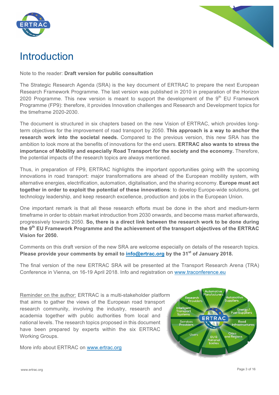



# Introduction

Note to the reader: **Draft version for public consultation**

The Strategic Research Agenda (SRA) is the key document of ERTRAC to prepare the next European Research Framework Programme. The last version was published in 2010 in preparation of the Horizon 2020 Programme. This new version is meant to support the development of the  $9<sup>th</sup>$  EU Framework Programme (FP9): therefore, it provides Innovation challenges and Research and Development topics for the timeframe 2020-2030.

The document is structured in six chapters based on the new Vision of ERTRAC, which provides longterm objectives for the improvement of road transport by 2050. **This approach is a way to anchor the research work into the societal needs.** Compared to the previous version, this new SRA has the ambition to look more at the benefits of innovations for the end users. **ERTRAC also wants to stress the importance of Mobility and especially Road Transport for the society and the economy.** Therefore, the potential impacts of the research topics are always mentioned.

Thus, in preparation of FP9, ERTRAC highlights the important opportunities going with the upcoming innovations in road transport: major transformations are ahead of the European mobility system, with alternative energies, electrification, automation, digitalisation, and the sharing economy. **Europe must act together in order to exploit the potential of these innovations**: to develop Europe-wide solutions, get technology leadership, and keep research excellence, production and jobs in the European Union.

One important remark is that all these research efforts must be done in the short and medium-term timeframe in order to obtain market introduction from 2030 onwards, and become mass market afterwards, progressively towards 2050. **So, there is a direct link between the research work to be done during the 9th EU Framework Programme and the achievement of the transport objectives of the ERTRAC Vision for 2050.**

Comments on this draft version of the new SRA are welcome especially on details of the research topics. **Please provide your comments by email to info@ertrac.org by the 31st of January 2018.**

The final version of the new ERTRAC SRA will be presented at the Transport Research Arena (TRA) Conference in Vienna, on 16-19 April 2018. Info and registration on www.traconference.eu

Reminder on the author: ERTRAC is a multi-stakeholder platform that aims to gather the views of the European road transport research community, involving the industry, research and academia together with public authorities from local and national levels. The research topics proposed in this document have been prepared by experts within the six ERTRAC Working Groups.

More info about ERTRAC on www.ertrac.org

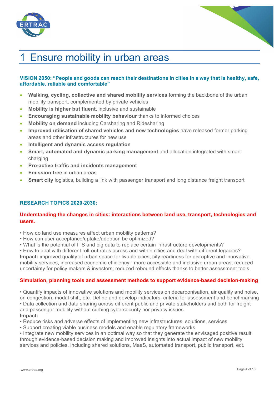



# 1 Ensure mobility in urban areas

# **VISION 2050: "People and goods can reach their destinations in cities in a way that is healthy, safe, affordable, reliable and comfortable"**

- **Walking, cycling, collective and shared mobility services** forming the backbone of the urban mobility transport, complemented by private vehicles
- **Mobility is higher but fluent**, inclusive and sustainable
- **Encouraging sustainable mobility behaviour** thanks to informed choices
- **Mobility on demand** including Carsharing and Ridesharing
- **Improved utilisation of shared vehicles and new technologies** have released former parking areas and other infrastructures for new use
- **Intelligent and dynamic access regulation**
- **Smart, automated and dynamic parking management** and allocation integrated with smart charging
- **Pro-active traffic and incidents management**
- **Emission free** in urban areas
- **Smart city** logistics, building a link with passenger transport and long distance freight transport

# **RESEARCH TOPICS 2020-2030:**

# **Understanding the changes in cities: interactions between land use, transport, technologies and users.**

- How do land use measures affect urban mobility patterns?
- How can user acceptance/uptake/adoption be optimized?
- What is the potential of ITS and big data to replace certain infrastructure developments?

• How to deal with different roll-out rates across and within cities and deal with different legacies? **Impact:** improved quality of urban space for livable cities; city readiness for disruptive and innovative mobility services; increased economic efficiency - more accessible and inclusive urban areas; reduced uncertainty for policy makers & investors; reduced rebound effects thanks to better assessment tools.

#### **Simulation, planning tools and assessment methods to support evidence-based decision-making**

• Quantify impacts of innovative solutions and mobility services on decarbonisation, air quality and noise, on congestion, modal shift, etc. Define and develop indicators, criteria for assessment and benchmarking • Data collection and data sharing across different public and private stakeholders and both for freight and passenger mobility without curbing cybersecurity nor privacy issues **Impact:**

- Reduce risks and adverse effects of implementing new infrastructures, solutions, services
- Support creating viable business models and enable regulatory frameworks
- Integrate new mobility services in an optimal way so that they generate the envisaged positive result through evidence-based decision making and improved insights into actual impact of new mobility services and policies, including shared solutions, MaaS, automated transport, public transport, ect.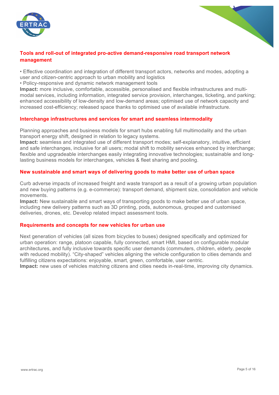



# **Tools and roll-out of integrated pro-active demand-responsive road transport network management**

• Effective coordination and integration of different transport actors, networks and modes, adopting a user and citizen-centric approach to urban mobility and logistics

• Policy-responsive and dynamic network management tools

**Impact:** more inclusive, comfortable, accessible, personalised and flexible infrastructures and multimodal services, including information, integrated service provision, interchanges, ticketing, and parking; enhanced accessibility of low-density and low-demand areas; optimised use of network capacity and increased cost-efficiency; released space thanks to optimised use of available infrastructure.

# **Interchange infrastructures and services for smart and seamless intermodality**

Planning approaches and business models for smart hubs enabling full multimodality and the urban transport energy shift, designed in relation to legacy systems.

**Impact:** seamless and integrated use of different transport modes; self-explanatory, intuitive, efficient and safe interchanges, inclusive for all users; modal shift to mobility services enhanced by interchange; flexible and upgradeable interchanges easily integrating innovative technologies; sustainable and longlasting business models for interchanges, vehicles & fleet sharing and pooling.

# **New sustainable and smart ways of delivering goods to make better use of urban space**

Curb adverse impacts of increased freight and waste transport as a result of a growing urban population and new buying patterns (e.g. e-commerce): transport demand, shipment size, consolidation and vehicle movements.

**Impact:** New sustainable and smart ways of transporting goods to make better use of urban space, including new delivery patterns such as 3D printing, pods, autonomous, grouped and customised deliveries, drones, etc. Develop related impact assessment tools.

# **Requirements and concepts for new vehicles for urban use**

Next generation of vehicles (all sizes from bicycles to buses) designed specifically and optimized for urban operation: range, platoon capable, fully connected, smart HMI, based on configurable modular architectures, and fully inclusive towards specific user demands (commuters, children, elderly, people with reduced mobility). "City-shaped" vehicles aligning the vehicle configuration to cities demands and fulfilling citizens expectations: enjoyable, smart, green, comfortable, user centric.

**Impact:** new uses of vehicles matching citizens and cities needs in-real-time, improving city dynamics.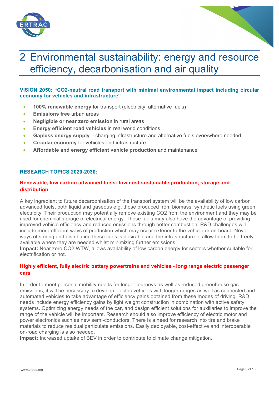



# 2 Environmental sustainability: energy and resource efficiency, decarbonisation and air quality

# **VISION 2050: "CO2-neutral road transport with minimal environmental impact including circular economy for vehicles and infrastructure"**

- **100% renewable energy** for transport (electricity, alternative fuels)
- **Emissions free** urban areas
- **Negligible or near zero emission** in rural areas
- **Energy efficient road vehicles** in real world conditions
- **Gapless energy supply**  charging infrastructure and alternative fuels everywhere needed
- **Circular economy** for vehicles and infrastructure
- **Affordable and energy efficient vehicle production** and maintenance

### **RESEARCH TOPICS 2020-2030:**

# **Renewable, low carbon advanced fuels: low cost sustainable production, storage and distribution**

A key ingredient to future decarbonisation of the transport system will be the availability of low carbon advanced fuels, both liquid and gaseous e.g. those produced from biomass, synthetic fuels using green electricity. Their production may potentially remove existing CO2 from the environment and they may be used for chemical storage of electrical energy. These fuels may also have the advantage of providing improved vehicle efficiency and reduced emissions through better combustion. R&D challenges will include more efficient ways of production which may occur exterior to the vehicle or on-board. Novel ways of storing and distributing these fuels is desirable and the infrastructure to allow them to be freely available where they are needed whilst minimizing further emissions.

**Impact:** Near zero CO2 WTW, allows availability of low carbon energy for sectors whether suitable for electrification or not.

# **Highly efficient, fully electric battery powertrains and vehicles - long range electric passenger cars**

In order to meet personal mobility needs for longer journeys as well as reduced greenhouse gas emissions, it will be necessary to develop electric vehicles with longer ranges as well as connected and automated vehicles to take advantage of efficiency gains obtained from these modes of driving. R&D needs include energy efficiency gains by light weight construction in combination with active safety systems. Optimizing energy needs of the car, and design efficient solutions for auxiliaries to improve the range of the vehicle will be important. Research should also improve efficiency of electric motor and power electronics such as new semi-conductors. There is a need for research into tire and brake materials to reduce residual particulate emissions. Easily deployable, cost-effective and interoperable on-road charging is also needed.

**Impact:** Increased uptake of BEV in order to contribute to climate change mitigation.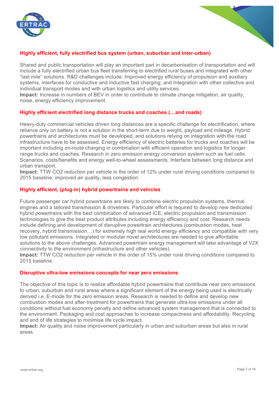



# **Highly efficient, fully electrified bus system (urban, suburban and inter-urban)**

Shared and public transportation will play an important part in decarbonisation of transportation and will include a fully electrified urban bus fleet transferring to electrified rural buses and integrated with other "last mile" solutions. R&D challenges include: Improved energy efficiency of propulsion and auxiliary systems, interfaces for conductive and inductive fast charging; and Integration with other collective and individual transport modes and with urban logistics and utility services.

**Impact:** Increase in numbers of BEV in order to contribute to climate change mitigation, air quality, noise, energy efficiency improvement.

### **Highly efficient electrified long distance trucks and coaches (…and roads)**

Heavy-duty commercial vehicles driven long distances are a specific challenge for electrification, where reliance only on battery is not a solution in the short-term due to weight, payload and mileage. Hybrid powertrains and architectures must be developed, and solutions relying on integration with the road infrastructure have to be assessed. Energy efficiency of electric batteries for trucks and coaches will be important including on-route charging in combination with efficient operation and logistics for longer range trucks and coaches. Research in zero emission energy conversion system such as fuel cells. Scenarios, costs/benefits and energy well-to-wheel assessments. Interface between long distance and urban transport.

**Impact:** TTW CO2 reduction per vehicle in the order of 12% under rural driving conditions compared to 2015 baseline, improved air quality, less congestion.

#### **Highly efficient, (plug-in) hybrid powertrains and vehicles**

Future passenger car hybrid powertrains are likely to combine electric propulsion systems, thermal engines and a tailored transmission & drivelines. Particular effort is required to develop new dedicated hybrid powertrains with the best combination of advanced ICE, electric propulsion and transmission technologies to give the best product attributes including energy efficiency and cost. Research needs include defining and development of disruptive powertrain architectures (combustion modes, heat recovery, hybrid transmission…) for extremely high real world energy efficiency and compatible with very low pollutant emissions. Integrated or modular novel architectures are needed to give affordable solutions to the above challenges. Advanced powertrain energy management will take advantage of V2X connectivity to the environment (infrastructure and other vehicles).

**Impact:** TTW CO2 reduction per vehicle in the order of 15% under rural driving conditions compared to 2015 baseline.

#### **Disruptive ultra-low emissions concepts for near zero emissions**

The objective of this topic is to realize affordable hybrid powertrains that contribute near zero emissions to urban, suburban and rural areas where a significant element of the energy being used is electrically derived i.e. E-mode for the zero emission areas. Research is needed to define and develop new combustion modes and after-treatment for powertrains that generate ultra-low emissions under all conditions without fuel economy penalty and define advanced system management that is connected to the environment. Packaging and cost approaches to increase compactness and affordability. Recycling and end of life strategies to minimise life cycle impact.

**Impact:** Air quality and noise improvement particularly in urban and suburban areas but also in rural areas.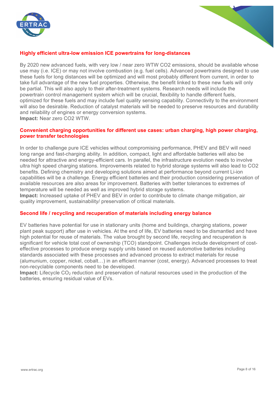



# **Highly efficient ultra-low emission ICE powertrains for long-distances**

By 2020 new advanced fuels, with very low / near zero WTW CO2 emissions, should be available whose use may (i.e. ICE) or may not involve combustion (e.g. fuel cells). Advanced powertrains designed to use these fuels for long distances will be optimized and will most probably different from current, in order to take full advantage of the new fuel properties. Otherwise, the benefit linked to these new fuels will only be partial. This will also apply to their after-treatment systems. Research needs will include the powertrain control management system which will be crucial, flexibility to handle different fuels, optimized for these fuels and may include fuel quality sensing capability. Connectivity to the environment will also be desirable. Reduction of catalyst materials will be needed to preserve resources and durability and reliability of engines or energy conversion systems. **Impact:** Near zero CO2 WTW.

#### **Convenient charging opportunities for different use cases: urban charging, high power charging, power transfer technologies**

In order to challenge pure ICE vehicles without compromising performance, PHEV and BEV will need long range and fast-charging ability. In addition, compact, light and affordable batteries will also be needed for attractive and energy-efficient cars. In parallel, the infrastructure evolution needs to involve ultra high speed charging stations. Improvements related to hybrid storage systems will also lead to CO2 benefits. Defining chemistry and developing solutions aimed at performance beyond current Li-ion capabilities will be a challenge. Energy efficient batteries and their production considering preservation of available resources are also areas for improvement. Batteries with better tolerances to extremes of temperature will be needed as well as improved hybrid storage systems.

**Impact:** Increased uptake of PHEV and BEV in order to contribute to climate change mitigation, air quality improvement, sustainability/ preservation of critical materials.

#### **Second life / recycling and recuperation of materials including energy balance**

EV batteries have potential for use in stationary units (home and buildings, charging stations, power plant peak support) after use in vehicles. At the end of life, EV batteries need to be dismantled and have high potential for reuse of materials. The value brought by second life, recycling and recuperation is significant for vehicle total cost of ownership (TCO) standpoint. Challenges include development of costeffective processes to produce energy supply units based on reused automotive batteries including standards associated with these processes and advanced process to extract materials for reuse (alumunium, copper, nickel, cobalt…) in an efficient manner (cost, energy). Advanced processes to treat non-recyclable components need to be developed.

**Impact:** Lifecycle CO<sub>2</sub> reduction and preservation of natural resources used in the production of the batteries, ensuring residual value of EVs.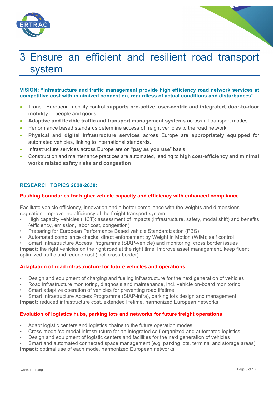



# 3 Ensure an efficient and resilient road transport system

# **VISION: "Infrastructure and traffic management provide high efficiency road network services at competitive cost with minimized congestion, regardless of actual conditions and disturbances"**

- Trans European mobility control **supports pro-active, user-centric and integrated, door-to-door mobility** of people and goods.
- Adaptive and flexible traffic and transport management systems across all transport modes
- Performance based standards determine access of freight vehicles to the road network
- **Physical and digital infrastructure services** across Europe are **appropriately equipped** for automated vehicles, linking to international standards.
- Infrastructure services across Europe are on "**pay as you use**" basis.
- Construction and maintenance practices are automated, leading to **high cost-efficiency and minimal works related safety risks and congestion**

# **RESEARCH TOPICS 2020-2030:**

### **Pushing boundaries for higher vehicle capacity and efficiency with enhanced compliance**

Facilitate vehicle efficiency, innovation and a better compliance with the weights and dimensions regulation; improve the efficiency of the freight transport system

- High capacity vehicles (HCT): assessment of impacts (infrastructure, safety, modal shift) and benefits (efficiency, emission, labor cost, congestion)
- Preparing for European Performance Based vehicle Standardization (PBS)
- Automated compliance checks; direct enforcement by Weight in Motion (WIM); self control
- Smart Infrastructure Access Programme (SIAP-vehicle) and monitoring; cross border issues

**Impact:** the right vehicles on the right road at the right time; improve asset management, keep fluent optimized traffic and reduce cost (incl. cross-border)

#### **Adaptation of road infrastructure for future vehicles and operations**

- Design and equipment of charging and fueling infrastructure for the next generation of vehicles
- Road infrastructure monitoring, diagnosis and maintenance, incl. vehicle on-board monitoring
- Smart adaptive operation of vehicles for preventing road lifetime
- Smart Infrastructure Access Programme (SIAP-infra), parking lots design and management
- **Impact:** reduced infrastructure cost, extended lifetime, harmonized European networks

#### **Evolution of logistics hubs, parking lots and networks for future freight operations**

- Adapt logistic centers and logistics chains to the future operation modes
- Cross-modal/co-modal infrastructure for an integrated self-organized and automated logistics
- Design and equipment of logistic centers and facilities for the next generation of vehicles
- Smart and automated connected space management (e.g. parking lots, terminal and storage areas) **Impact:** optimal use of each mode, harmonized European networks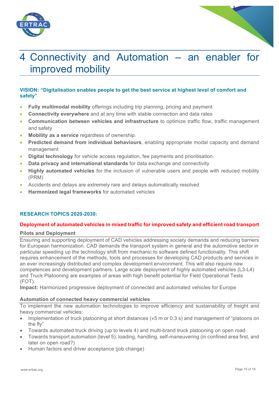



# 4 Connectivity and Automation – an enabler for improved mobility

# **VISION: "Digitalisation enables people to get the best service at highest level of comfort and safety"**

- **Fully multimodal mobility** offerings including trip planning, pricing and payment
- **Connectivity everywhere** and at any time with stable connection and data rates
- **Communication between vehicles and infrastructure** to optimize traffic flow, traffic management and safety
- **Mobility as a service** regardless of ownership.
- **Predicted demand from individual behaviours**, enabling appropriate modal capacity and demand management
- **Digital technology** for vehicle access regulation, fee payments and prioritisation.
- **Data privacy and international standards** for data exchange and connectivity
- **Highly automated vehicles** for the inclusion of vulnerable users and people with reduced mobility (PRM)
- Accidents and delays are extremely rare and delays automatically resolved
- **Harmonized legal frameworks** for automated vehicles

# **RESEARCH TOPICS 2020-2030:**

#### **Deployment of automated vehicles in mixed traffic for improved safety and efficient road transport**

#### **Pilots and Deployment**

Ensuring and supporting deployment of CAD vehicles addressing society demands and reducing barriers for European harmonization. CAD demands the transport system in general and the automotive sector in particular speeding up the technology shift from mechanic to software defined functionality. This shift requires enhancement of the methods, tools and processes for developing CAD products and services in an ever increasingly distributed and complex development environment. This will also require new competences and development partners. Large scale deployment of highly automated vehicles (L3-L4) and Truck Platooning are examples of areas with high benefit potential for Field Operational Tests (FOT).

**Impact:** Harmonized progressive deployment of connected and automated vehicles for Europe

#### **Automation of connected heavy commercial vehicles**

To implement the new automation technologies to improve efficiency and sustainability of freight and heavy commercial vehicles:

- Implementation of truck platooning at short distances ( $\frac{1}{2}$  or 0.3 s) and management of "platoons on the fly"
- Towards automated truck driving (up to levels 4) and multi-brand truck platooning on open road
- Towards transport automation (level 5): loading, handling, self-maneuvering (in confined area first, and later on open road?)
- Human factors and driver acceptance (job change)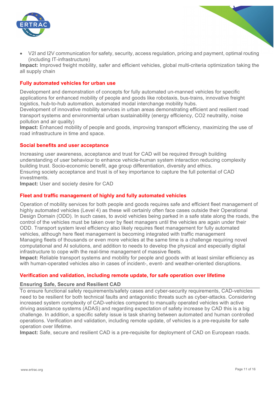

• V2I and I2V communication for safety, security, access regulation, pricing and payment, optimal routing (including IT-infrastructure)

**Impact:** Improved freight mobility, safer and efficient vehicles, global multi-criteria optimization taking the all supply chain

#### **Fully automated vehicles for urban use**

Development and demonstration of concepts for fully automated un-manned vehicles for specific applications for enhanced mobility of people and goods like robotaxis, bus-trains, innovative freight logistics, hub-to-hub automation, automated modal interchange mobility hubs.

Development of innovative mobility services in urban areas demonstrating efficient and resilient road transport systems and environmental urban sustainability (energy efficiency, CO2 neutrality, noise pollution and air quality)

**Impact:** Enhanced mobility of people and goods, improving transport efficiency, maximizing the use of road infrastructure in time and space.

#### **Social benefits and user acceptance**

Increasing user awareness, acceptance and trust for CAD will be required through building understanding of user behaviour to enhance vehicle-human system interaction reducing complexity building trust. Socio-economic benefit, age group differentiation, diversity and ethics. Ensuring society acceptance and trust is of key importance to capture the full potential of CAD investments.

**Impact:** User and society desire for CAD

### **Fleet and traffic management of highly and fully automated vehicles**

Operation of mobility services for both people and goods requires safe and efficient fleet management of highly automated vehicles (Level 4) as these will certainly often face cases outside their Operational Design Domain (ODD). In such cases, to avoid vehicles being parked in a safe state along the roads, the control of the vehicles must be taken over by fleet managers until the vehicles are again under their ODD. Transport system level efficiency also likely requires fleet management for fully automated vehicles, although here fleet management is becoming integrated with traffic management Managing fleets of thousands or even more vehicles at the same time is a challenge requiring novel computational and AI solutions, and addition to needs to develop the physical and especially digital infrastructure to cope with the real-time management of massive fleets.

**Impact:** Reliable transport systems and mobility for people and goods with at least similar efficiency as with human-operated vehicles also in cases of incident-, event- and weather-oriented disruptions.

#### **Verification and validation, including remote update, for safe operation over lifetime**

#### **Ensuring Safe, Secure and Resilient CAD**

To ensure functional safety requirements/safety cases and cyber-security requirements, CAD-vehicles need to be resilient for both technical faults and antagonistic threats such as cyber-attacks. Considering increased system complexity of CAD-vehicles compared to manually operated vehicles with active driving assistance systems (ADAS) and regarding expectation of safety increase by CAD this is a big challenge. In addition, a specific safety issue is task sharing between automated and human controlled operations. Verification and validation, including remote update, of vehicles is a pre-requisite for safe operation over lifetime.

**Impact:** Safe, secure and resilient CAD is a pre-requisite for deployment of CAD on European roads.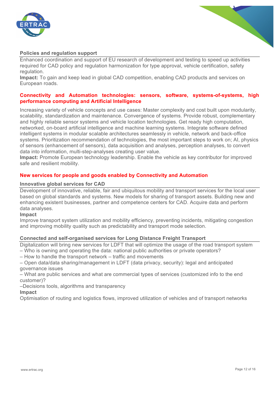



#### **Policies and regulation support**

Enhanced coordination and support of EU research of development and testing to speed up activities required for CAD policy and regulation harmonization for type approval, vehicle certification, safety regulation.

**Impact:** To gain and keep lead in global CAD competition, enabling CAD products and services on European roads.

### **Connectivity and Automation technologies: sensors, software, systems-of-systems, high performance computing and Artificial Intelligence**

Increasing variety of vehicle concepts and use cases: Master complexity and cost built upon modularity, scalability, standardization and maintenance. Convergence of systems. Provide robust, complementary and highly reliable sensor systems and vehicle location technologies. Get ready high computation, networked, on-board artificial intelligence and machine learning systems. Integrate software defined intelligent systems in modular scalable architectures seamlessly in vehicle, network and back-office systems. Prioritization recommendation of technologies, the most important steps to work on; AI, physics of sensors (enhancement of sensors), data acquisition and analyses, perception analyses, to convert data into information, multi-step-analyses creating user value.

**Impact:** Promote European technology leadership. Enable the vehicle as key contributor for improved safe and resilient mobility.

#### **New services for people and goods enabled by Connectivity and Automation**

#### **Innovative global services for CAD**

Development of innovative, reliable, fair and ubiquitous mobility and transport services for the local user based on global standards and systems. New models for sharing of transport assets. Building new and enhancing existent businesses, partner and competence centers for CAD. Acquire data and perform data analyses.

#### **Impact**

Improve transport system utilization and mobility efficiency, preventing incidents, mitigating congestion and improving mobility quality such as predictability and transport mode selection.

#### **Connected and self-organised services for Long Distance Freight Transport**

Digitalization will bring new services for LDFT that will optimize the usage of the road transport system

- Who is owning and operating the data: national public authorities or private operators?
- How to handle the transport network traffic and movements

– Open data/data sharing/management in LDFT (data privacy, security): legal and anticipated governance issues

– What are public services and what are commercial types of services (customized info to the end customer)?

–Decisions tools, algorithms and transparency

# **Impact**

Optimisation of routing and logistics flows, improved utilization of vehicles and of transport networks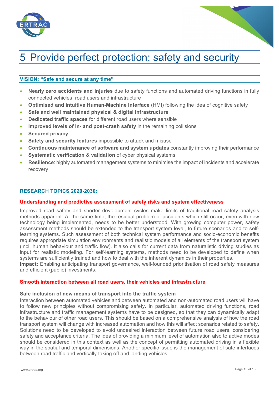



# 5 Provide perfect protection: safety and security

# **VISION: "Safe and secure at any time"**

- **Nearly zero accidents and injuries** due to safety functions and automated driving functions in fully connected vehicles, road users and infrastructure
- **Optimised and intuitive Human-Machine Interface** (HMI) following the idea of cognitive safety
- **Safe and well maintained physical & digital infrastructure**
- **Dedicated traffic spaces** for different road users where sensible
- **Improved levels of in- and post-crash safety** in the remaining collisions
- **Secured privacy**
- **Safety and security features** impossible to attack and misuse
- **Continuous maintenance of software and system updates** constantly improving their performance
- **Systematic verification & validation** of cyber physical systems
- **Resilience**: highly automated management systems to minimise the impact of incidents and accelerate recovery

#### **RESEARCH TOPICS 2020-2030:**

#### **Understanding and predictive assessment of safety risks and system effectiveness**

Improved road safety and shorter development cycles make limits of traditional road safety analysis methods apparent. At the same time, the residual problem of accidents which still occur, even with new technology being implemented, needs to be better understood. With growing computer power, safety assessment methods should be extended to the transport system level, to future scenarios and to selflearning systems. Such assessment of both technical system performance and socio-economic benefits requires appropriate simulation environments and realistic models of all elements of the transport system (incl. human behaviour and traffic flow). It also calls for current data from naturalistic driving studies as input for realistic modeling. For self-learning systems, methods need to be developed to define when systems are sufficiently trained and how to deal with the inherent dynamics in their properties. **Impact:** Enabling anticipating transport governance, well-founded prioritisation of road safety measures and efficient (public) investments.

#### **Smooth interaction between all road users, their vehicles and infrastructure**

#### **Safe inclusion of new means of transport into the traffic system**

Interaction between automated vehicles and between automated and non-automated road users will have to follow new principles without compromising safety. In particular, automated driving functions, road infrastructure and traffic management systems have to be designed, so that they can dynamically adapt to the behaviour of other road users. This should be based on a comprehensive analysis of how the road transport system will change with increased automation and how this will affect scenarios related to safety. Solutions need to be developed to avoid undesired interaction between future road users, considering safety and acceptance criteria. The idea of providing a minimum level of automation also to active modes should be considered in this context as well as the concept of permitting automated driving in a flexible way in the spatial and temporal dimensions. Another specific issue is the management of safe interfaces between road traffic and vertically taking off and landing vehicles.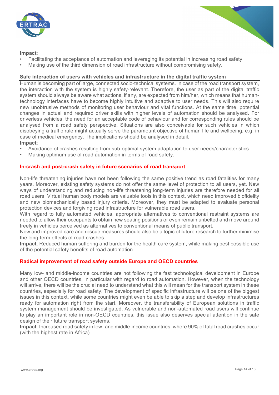



### **Impact**:

- Facilitating the acceptance of automation and leveraging its potential in increasing road safety.
- Making use of the third dimension of road infrastructure without compromising safety.

#### **Safe interaction of users with vehicles and infrastructure in the digital traffic system**

Human is becoming part of large, connected socio-technical systems. In case of the road transport system, the interaction with the system is highly safety-relevant. Therefore, the user as part of the digital traffic system should always be aware what actions, if any, are expected from him/her, which means that humantechnology interfaces have to become highly intuitive and adaptive to user needs. This will also require new unobtrusive methods of monitoring user behaviour and vital functions. At the same time, potential changes in actual and required driver skills with higher levels of automation should be analysed. For driverless vehicles, the need for an acceptable code of behaviour and for corresponding rules should be analysed from a road safety perspective. Situations are also conceivable for such vehicles in which disobeying a traffic rule might actually serve the paramount objective of human life and wellbeing, e.g. in case of medical emergency. The implications should be analysed in detail.

#### **Impact**:

- Avoidance of crashes resulting from sub-optimal system adaptation to user needs/characteristics.
- Making optimum use of road automation in terms of road safety.

#### **In-crash and post-crash safety in future scenarios of road transport**

Non-life threatening injuries have not been following the same positive trend as road fatalities for many years. Moreover, existing safety systems do not offer the same level of protection to all users, yet. New ways of understanding and reducing non-life threatening long-term injuries are therefore needed for all road users. Virtual human body models are valuable tools in this context, which need improved biofidelity and new biomechanically based injury criteria. Moreover, they must be adapted to evaluate personal protection devices and forgiving road infrastructure for vulnerable road users.

With regard to fully automated vehicles, appropriate alternatives to conventional restraint systems are needed to allow their occupants to obtain new seating positions or even remain unbelted and move around freely in vehicles perceived as alternatives to conventional means of public transport.

New and improved care and rescue measures should also be a topic of future research to further minimise the long-term effects of road crashes.

**Impact**: Reduced human suffering and burden for the health care system, while making best possible use of the potential safety benefits of road automation.

#### **Radical improvement of road safety outside Europe and OECD countries**

Many low- and middle-income countries are not following the fast technological development in Europe and other OECD countries, in particular with regard to road automation. However, when the technology will arrive, there will be the crucial need to understand what this will mean for the transport system in these countries, especially for road safety. The development of specific infrastructure will be one of the biggest issues in this context, while some countries might even be able to skip a step and develop infrastructures ready for automation right from the start. Moreover, the transferability of European solutions in traffic system management should be investigated. As vulnerable and non-automated road users will continue to play an important role in non-OECD countries, this issue also deserves special attention in the safe design of their future transport systems.

**Impact**: Increased road safety in low- and middle-income countries, where 90% of fatal road crashes occur (with the highest rate in Africa).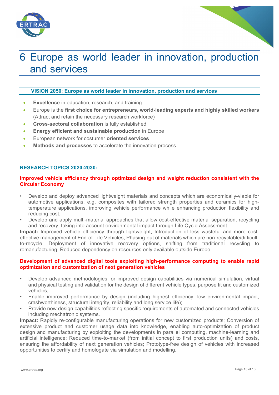



# 6 Europe as world leader in innovation, production and services

### **VISION 2050: Europe as world leader in innovation, production and services**

- **Excellence** in education, research, and training
- Europe is the **first choice for entrepreneurs, world-leading experts and highly skilled workers** (Attract and retain the necessary research workforce)
- **Cross-sectoral collaboration** is fully established
- **Energy efficient and sustainable production** in Europe
- European network for costumer **oriented services**
- **Methods and processes** to accelerate the innovation process

### **RESEARCH TOPICS 2020-2030:**

### **Improved vehicle efficiency through optimized design and weight reduction consistent with the Circular Economy**

- Develop and deploy advanced lightweight materials and concepts which are economically-viable for automotive applications, e.g. composites with tailored strength properties and ceramics for hightemperature applications, improving vehicle performance while enhancing production flexibility and reducing cost;
- Develop and apply multi-material approaches that allow cost-effective material separation, recycling and recovery, taking into account environmental impact through Life Cycle Assessment

**Impact:** Improved vehicle efficiency through lightweight; Introduction of less wasteful and more costeffective management of End-of-Life Vehicles; Phasing-out of materials which are non-recyclable/difficultto-recycle; Deployment of innovative recovery options, shifting from traditional recycling to remanufacturing; Reduced dependency on resources only available outside Europe.

#### **Development of advanced digital tools exploiting high-performance computing to enable rapid optimization and customization of next generation vehicles**

- Develop advanced methodologies for improved design capabilities via numerical simulation, virtual and physical testing and validation for the design of different vehicle types, purpose fit and customized vehicles;
- Enable improved performance by design (including highest efficiency, low environmental impact, crashworthiness, structural integrity, reliability and long service life);
- Provide new design capabilities reflecting specific requirements of automated and connected vehicles including mechatronic systems.

**Impact:** Rapidly re-configurable manufacturing operations for new customized products; Conversion of extensive product and customer usage data into knowledge, enabling auto-optimization of product design and manufacturing by exploiting the developments in parallel computing, machine-learning and artificial intelligence; Reduced time-to-market (from initial concept to first production units) and costs, ensuring the affordability of next generation vehicles; Prototype-free design of vehicles with increased opportunities to certify and homologate via simulation and modelling.